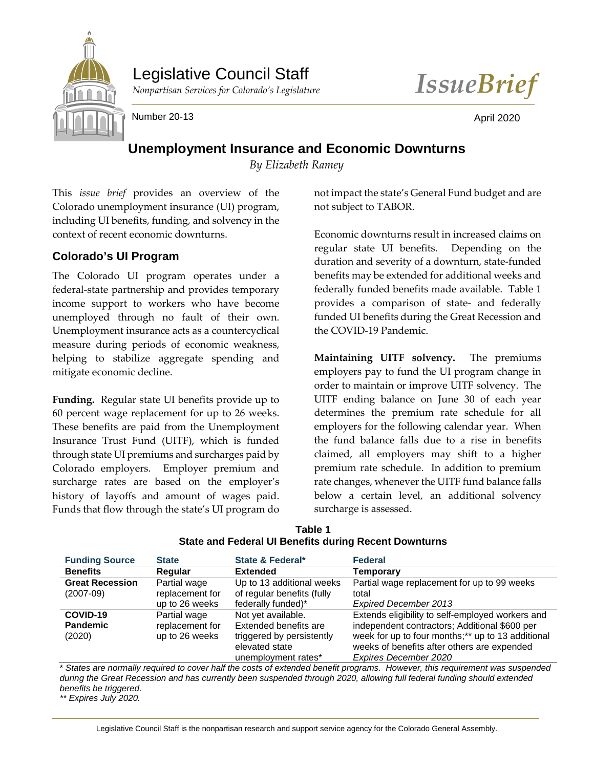

# Legislative Council Staff



Number 20-13 **April 2020** 

# **Unemployment Insurance and Economic Downturns**

*By Elizabeth Ramey*

This *issue brief* provides an overview of the Colorado unemployment insurance (UI) program, including UI benefits, funding, and solvency in the context of recent economic downturns.

#### **Colorado's UI Program**

The Colorado UI program operates under a federal-state partnership and provides temporary income support to workers who have become unemployed through no fault of their own. Unemployment insurance acts as a countercyclical measure during periods of economic weakness, helping to stabilize aggregate spending and mitigate economic decline.

**Funding.** Regular state UI benefits provide up to 60 percent wage replacement for up to 26 weeks. These benefits are paid from the Unemployment Insurance Trust Fund (UITF), which is funded through state UI premiums and surcharges paid by Colorado employers. Employer premium and surcharge rates are based on the employer's history of layoffs and amount of wages paid. Funds that flow through the state's UI program do

not impact the state's General Fund budget and are not subject to TABOR.

Economic downturns result in increased claims on regular state UI benefits. Depending on the duration and severity of a downturn, state-funded benefits may be extended for additional weeks and federally funded benefits made available. Table 1 provides a comparison of state- and federally funded UI benefits during the Great Recession and the COVID-19 Pandemic.

**Maintaining UITF solvency.** The premiums employers pay to fund the UI program change in order to maintain or improve UITF solvency. The UITF ending balance on June 30 of each year determines the premium rate schedule for all employers for the following calendar year. When the fund balance falls due to a rise in benefits claimed, all employers may shift to a higher premium rate schedule. In addition to premium rate changes, whenever the UITF fund balance falls below a certain level, an additional solvency surcharge is assessed.

| <b>Funding Source</b>                 | <b>State</b>                                      | State & Federal*                                                                                                  | <b>Federal</b>                                                                                                                                                                                                                 |
|---------------------------------------|---------------------------------------------------|-------------------------------------------------------------------------------------------------------------------|--------------------------------------------------------------------------------------------------------------------------------------------------------------------------------------------------------------------------------|
| <b>Benefits</b>                       | Regular                                           | <b>Extended</b>                                                                                                   | Temporary                                                                                                                                                                                                                      |
| <b>Great Recession</b><br>$(2007-09)$ | Partial wage<br>replacement for<br>up to 26 weeks | Up to 13 additional weeks<br>of regular benefits (fully<br>federally funded)*                                     | Partial wage replacement for up to 99 weeks<br>total<br><b>Expired December 2013</b>                                                                                                                                           |
| COVID-19<br><b>Pandemic</b><br>(2020) | Partial wage<br>replacement for<br>up to 26 weeks | Not yet available.<br>Extended benefits are<br>triggered by persistently<br>elevated state<br>unemployment rates* | Extends eligibility to self-employed workers and<br>independent contractors; Additional \$600 per<br>week for up to four months;** up to 13 additional<br>weeks of benefits after others are expended<br>Expires December 2020 |

| Table 1                                                      |
|--------------------------------------------------------------|
| <b>State and Federal UI Benefits during Recent Downturns</b> |

\* *States are normally required to cover half the costs of extended benefit programs. However, this requirement was suspended during the Great Recession and has currently been suspended through 2020, allowing full federal funding should extended benefits be triggered.*

*\*\* Expires July 2020.*